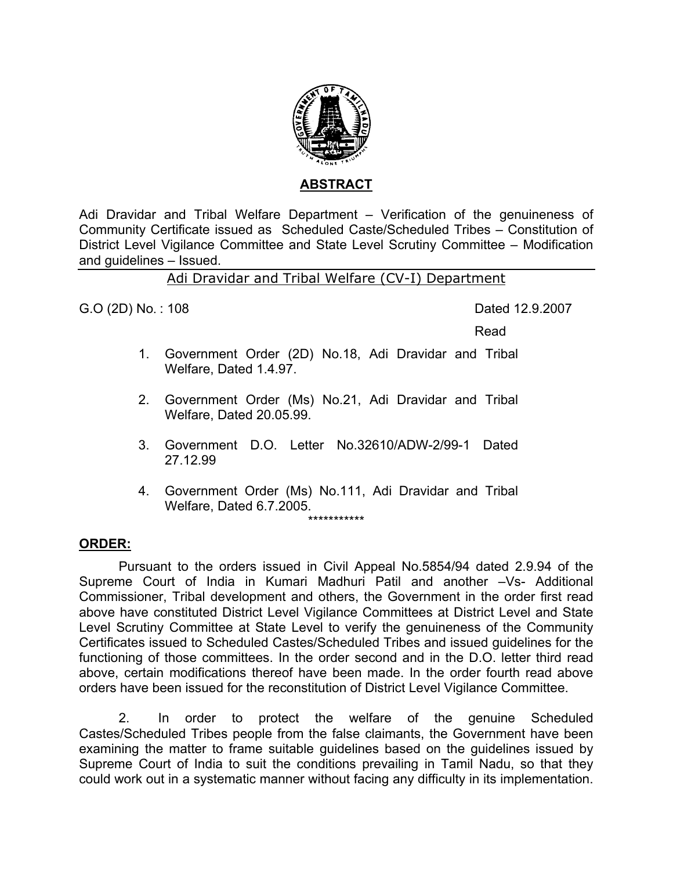

## **ABSTRACT**

Adi Dravidar and Tribal Welfare Department – Verification of the genuineness of Community Certificate issued as Scheduled Caste/Scheduled Tribes – Constitution of District Level Vigilance Committee and State Level Scrutiny Committee – Modification and guidelines – Issued.

## Adi Dravidar and Tribal Welfare (CV-I) Department

G.O (2D) No.: 108 Dated 12.9.2007

**Read and Security Contract Contract Contract Contract Contract Contract Contract Contract Contract Contract Contract Contract Contract Contract Contract Contract Contract Contract Contract Contract Contract Contract Contr** 

- 1. Government Order (2D) No.18, Adi Dravidar and Tribal Welfare, Dated 1.4.97.
- 2. Government Order (Ms) No.21, Adi Dravidar and Tribal Welfare, Dated 20.05.99.
- 3. Government D.O. Letter No.32610/ADW-2/99-1 Dated 27.12.99
- 4. Government Order (Ms) No.111, Adi Dravidar and Tribal Welfare, Dated 6.7.2005. \*\*\*\*\*\*\*\*\*\*\*

## **ORDER:**

 Pursuant to the orders issued in Civil Appeal No.5854/94 dated 2.9.94 of the Supreme Court of India in Kumari Madhuri Patil and another –Vs- Additional Commissioner, Tribal development and others, the Government in the order first read above have constituted District Level Vigilance Committees at District Level and State Level Scrutiny Committee at State Level to verify the genuineness of the Community Certificates issued to Scheduled Castes/Scheduled Tribes and issued guidelines for the functioning of those committees. In the order second and in the D.O. letter third read above, certain modifications thereof have been made. In the order fourth read above orders have been issued for the reconstitution of District Level Vigilance Committee.

 2. In order to protect the welfare of the genuine Scheduled Castes/Scheduled Tribes people from the false claimants, the Government have been examining the matter to frame suitable guidelines based on the guidelines issued by Supreme Court of India to suit the conditions prevailing in Tamil Nadu, so that they could work out in a systematic manner without facing any difficulty in its implementation.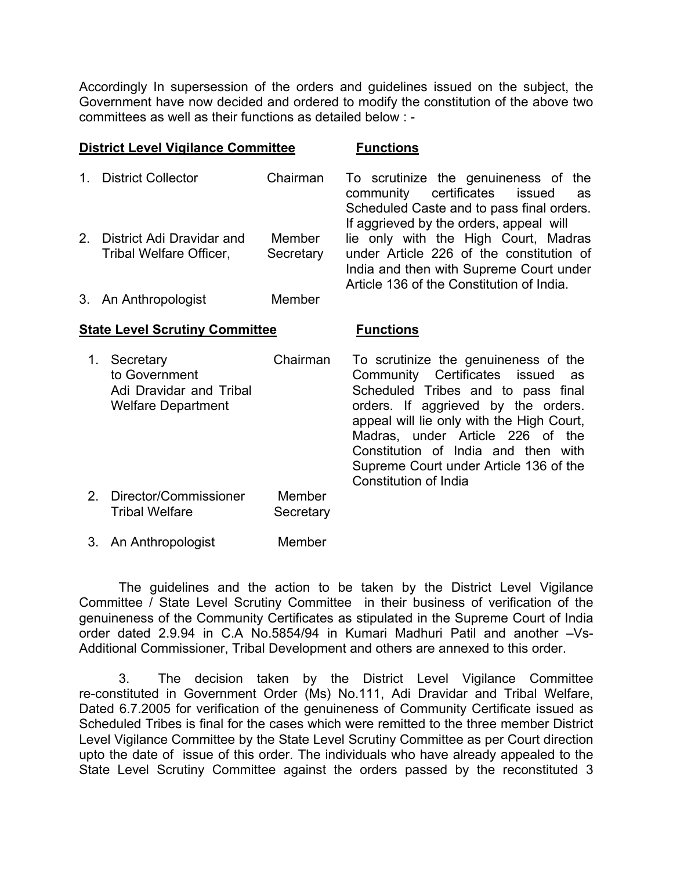Accordingly In supersession of the orders and guidelines issued on the subject, the Government have now decided and ordered to modify the constitution of the above two committees as well as their functions as detailed below : -

### **District Level Vigilance Committee Functions**

1. District Collector Chairman To scrutinize the genuineness of the community certificates issued as Scheduled Caste and to pass final orders. If aggrieved by the orders, appeal will 2. District Adi Dravidar and 3. An Anthropologist Tribal Welfare Officer, Member **Secretary** Member lie only with the High Court, Madras under Article 226 of the constitution of India and then with Supreme Court under Article 136 of the Constitution of India.

### **State Level Scrutiny Committee Functions**

| $1_{-}$ | Secretary<br>to Government<br>Adi Dravidar and Tribal<br><b>Welfare Department</b> | Chairman            | To scrutinize the genuineness of the<br>Community Certificates issued as<br>Scheduled Tribes and to pass final<br>orders. If aggrieved by the orders.<br>appeal will lie only with the High Court,<br>Madras, under Article 226 of the<br>Constitution of India and then with<br>Supreme Court under Article 136 of the<br>Constitution of India |
|---------|------------------------------------------------------------------------------------|---------------------|--------------------------------------------------------------------------------------------------------------------------------------------------------------------------------------------------------------------------------------------------------------------------------------------------------------------------------------------------|
|         | 2. Director/Commissioner<br><b>Tribal Welfare</b>                                  | Member<br>Secretary |                                                                                                                                                                                                                                                                                                                                                  |

3. An Anthropologist Member

 The guidelines and the action to be taken by the District Level Vigilance Committee / State Level Scrutiny Committee in their business of verification of the genuineness of the Community Certificates as stipulated in the Supreme Court of India order dated 2.9.94 in C.A No.5854/94 in Kumari Madhuri Patil and another –Vs-Additional Commissioner, Tribal Development and others are annexed to this order.

 3. The decision taken by the District Level Vigilance Committee re-constituted in Government Order (Ms) No.111, Adi Dravidar and Tribal Welfare, Dated 6.7.2005 for verification of the genuineness of Community Certificate issued as Scheduled Tribes is final for the cases which were remitted to the three member District Level Vigilance Committee by the State Level Scrutiny Committee as per Court direction upto the date of issue of this order. The individuals who have already appealed to the State Level Scrutiny Committee against the orders passed by the reconstituted 3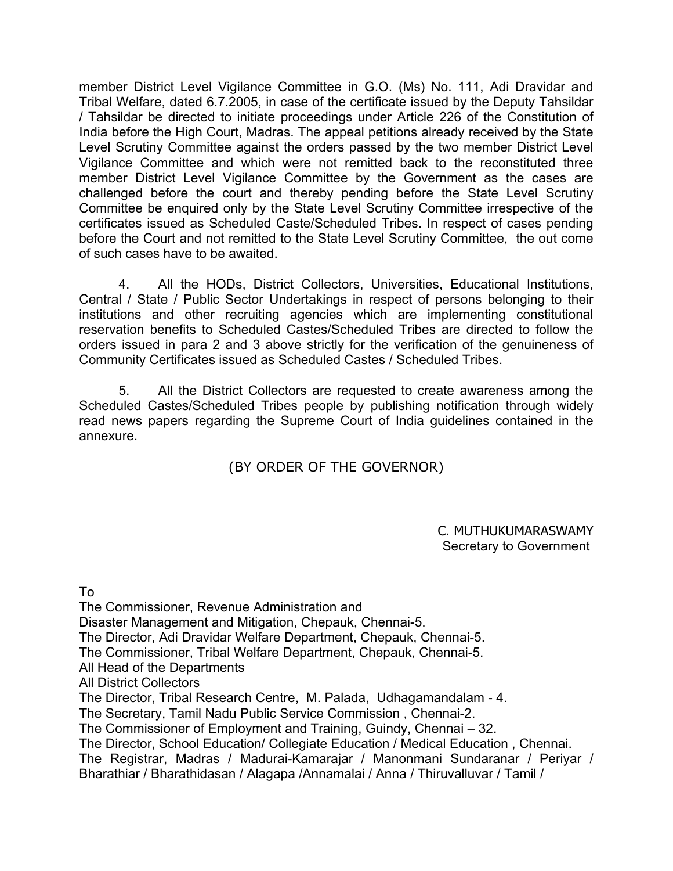member District Level Vigilance Committee in G.O. (Ms) No. 111, Adi Dravidar and Tribal Welfare, dated 6.7.2005, in case of the certificate issued by the Deputy Tahsildar / Tahsildar be directed to initiate proceedings under Article 226 of the Constitution of India before the High Court, Madras. The appeal petitions already received by the State Level Scrutiny Committee against the orders passed by the two member District Level Vigilance Committee and which were not remitted back to the reconstituted three member District Level Vigilance Committee by the Government as the cases are challenged before the court and thereby pending before the State Level Scrutiny Committee be enquired only by the State Level Scrutiny Committee irrespective of the certificates issued as Scheduled Caste/Scheduled Tribes. In respect of cases pending before the Court and not remitted to the State Level Scrutiny Committee, the out come of such cases have to be awaited.

 4. All the HODs, District Collectors, Universities, Educational Institutions, Central / State / Public Sector Undertakings in respect of persons belonging to their institutions and other recruiting agencies which are implementing constitutional reservation benefits to Scheduled Castes/Scheduled Tribes are directed to follow the orders issued in para 2 and 3 above strictly for the verification of the genuineness of Community Certificates issued as Scheduled Castes / Scheduled Tribes.

 5. All the District Collectors are requested to create awareness among the Scheduled Castes/Scheduled Tribes people by publishing notification through widely read news papers regarding the Supreme Court of India guidelines contained in the annexure.

# (BY ORDER OF THE GOVERNOR)

C. MUTHUKUMARASWAMY Secretary to Government

To

The Commissioner, Revenue Administration and Disaster Management and Mitigation, Chepauk, Chennai-5. The Director, Adi Dravidar Welfare Department, Chepauk, Chennai-5. The Commissioner, Tribal Welfare Department, Chepauk, Chennai-5. All Head of the Departments All District Collectors The Director, Tribal Research Centre, M. Palada, Udhagamandalam - 4. The Secretary, Tamil Nadu Public Service Commission , Chennai-2. The Commissioner of Employment and Training, Guindy, Chennai – 32. The Director, School Education/ Collegiate Education / Medical Education , Chennai. The Registrar, Madras / Madurai-Kamarajar / Manonmani Sundaranar / Periyar / Bharathiar / Bharathidasan / Alagapa /Annamalai / Anna / Thiruvalluvar / Tamil /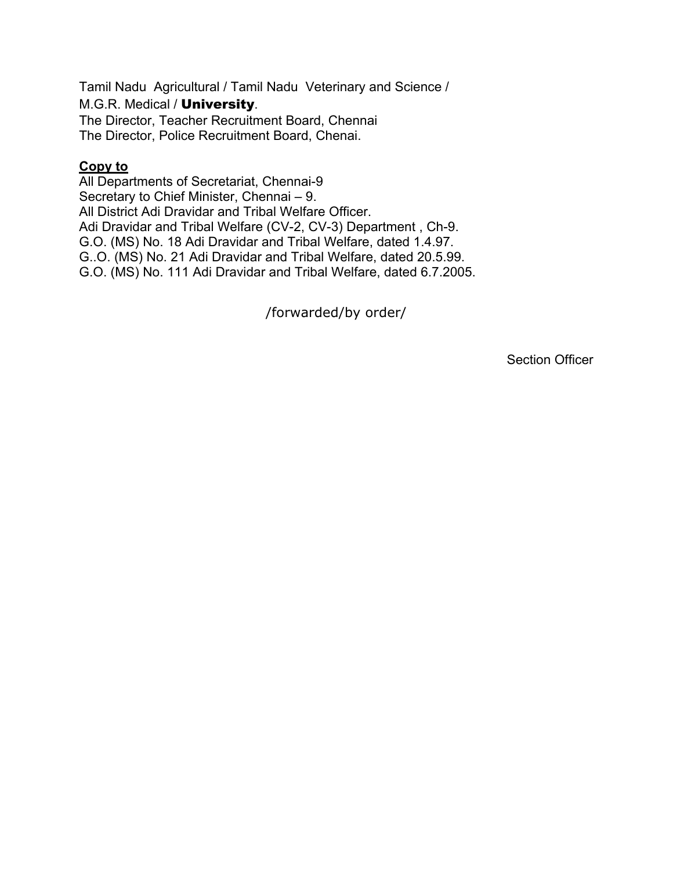Tamil Nadu Agricultural / Tamil Nadu Veterinary and Science / M.G.R. Medical / University.

The Director, Teacher Recruitment Board, Chennai The Director, Police Recruitment Board, Chenai.

## **Copy to**

All Departments of Secretariat, Chennai-9 Secretary to Chief Minister, Chennai – 9. All District Adi Dravidar and Tribal Welfare Officer. Adi Dravidar and Tribal Welfare (CV-2, CV-3) Department , Ch-9. G.O. (MS) No. 18 Adi Dravidar and Tribal Welfare, dated 1.4.97. G..O. (MS) No. 21 Adi Dravidar and Tribal Welfare, dated 20.5.99. G.O. (MS) No. 111 Adi Dravidar and Tribal Welfare, dated 6.7.2005.

/forwarded/by order/

Section Officer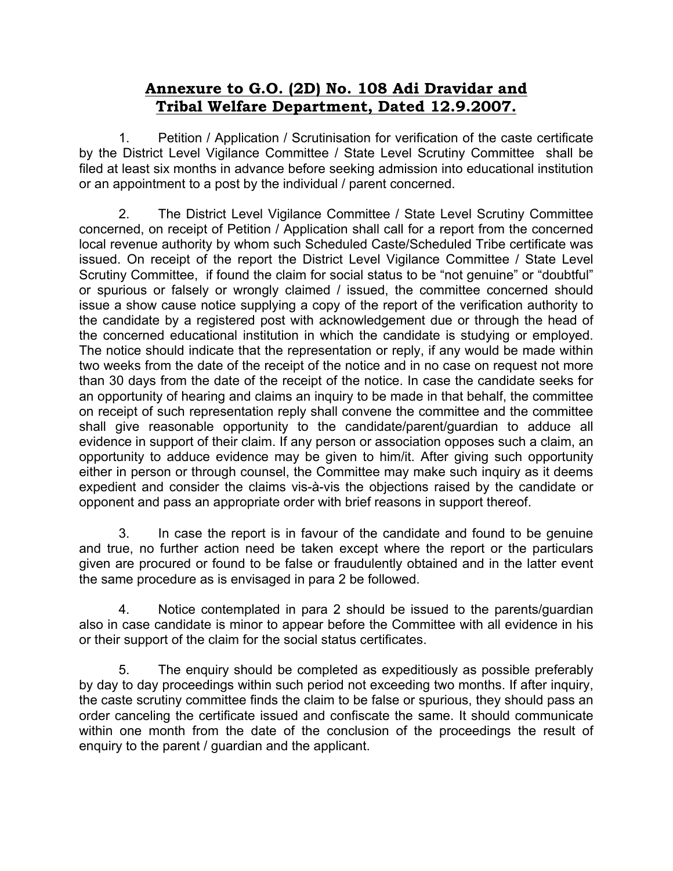# **Annexure to G.O. (2D) No. 108 Adi Dravidar and Tribal Welfare Department, Dated 12.9.2007.**

 1. Petition / Application / Scrutinisation for verification of the caste certificate by the District Level Vigilance Committee / State Level Scrutiny Committee shall be filed at least six months in advance before seeking admission into educational institution or an appointment to a post by the individual / parent concerned.

 2. The District Level Vigilance Committee / State Level Scrutiny Committee concerned, on receipt of Petition / Application shall call for a report from the concerned local revenue authority by whom such Scheduled Caste/Scheduled Tribe certificate was issued. On receipt of the report the District Level Vigilance Committee / State Level Scrutiny Committee, if found the claim for social status to be "not genuine" or "doubtful" or spurious or falsely or wrongly claimed / issued, the committee concerned should issue a show cause notice supplying a copy of the report of the verification authority to the candidate by a registered post with acknowledgement due or through the head of the concerned educational institution in which the candidate is studying or employed. The notice should indicate that the representation or reply, if any would be made within two weeks from the date of the receipt of the notice and in no case on request not more than 30 days from the date of the receipt of the notice. In case the candidate seeks for an opportunity of hearing and claims an inquiry to be made in that behalf, the committee on receipt of such representation reply shall convene the committee and the committee shall give reasonable opportunity to the candidate/parent/guardian to adduce all evidence in support of their claim. If any person or association opposes such a claim, an opportunity to adduce evidence may be given to him/it. After giving such opportunity either in person or through counsel, the Committee may make such inquiry as it deems expedient and consider the claims vis-à-vis the objections raised by the candidate or opponent and pass an appropriate order with brief reasons in support thereof.

 3. In case the report is in favour of the candidate and found to be genuine and true, no further action need be taken except where the report or the particulars given are procured or found to be false or fraudulently obtained and in the latter event the same procedure as is envisaged in para 2 be followed.

 4. Notice contemplated in para 2 should be issued to the parents/guardian also in case candidate is minor to appear before the Committee with all evidence in his or their support of the claim for the social status certificates.

 5. The enquiry should be completed as expeditiously as possible preferably by day to day proceedings within such period not exceeding two months. If after inquiry, the caste scrutiny committee finds the claim to be false or spurious, they should pass an order canceling the certificate issued and confiscate the same. It should communicate within one month from the date of the conclusion of the proceedings the result of enquiry to the parent / guardian and the applicant.